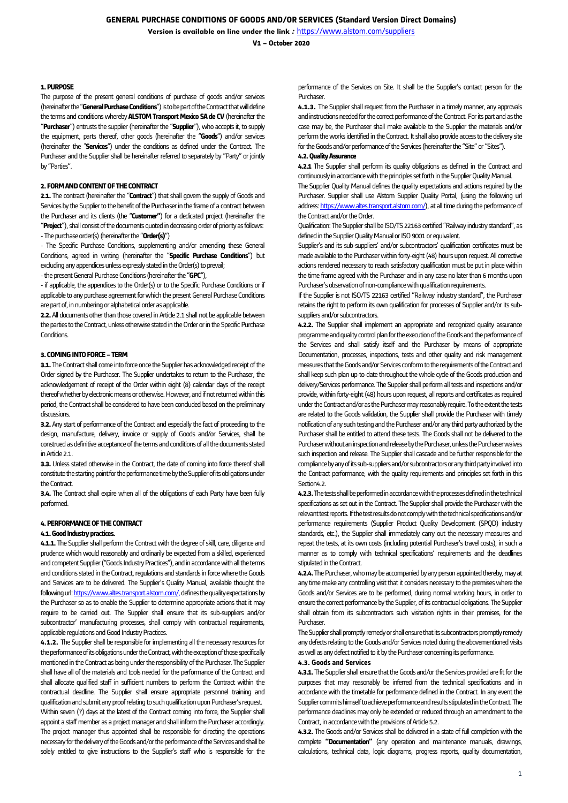**V1 – October 2020**

### **1. PURPOSE**

The purpose of the present general conditions of purchase of goods and/or services (hereinafter the "**General Purchase Conditions**") is to be part of the Contract that will define the terms and conditions whereby **ALSTOM Transport Mexico SA de CV** (hereinafter the "**Purchaser**") entrusts the supplier (hereinafter the "**Supplier**"), who accepts it, to supply the equipment, parts thereof, other goods (hereinafter the "**Goods**") and/or services (hereinafter the "**Services**") under the conditions as defined under the Contract. The Purchaser and the Supplier shall be hereinafter referred to separately by "Party" or jointly by "Parties".

# **2. FORM AND CONTENT OF THE CONTRACT**

**2.1.** The contract (hereinafter the "**Contract**") that shall govern the supply of Goods and Services by the Supplier to the benefit of the Purchaser in the frame of a contract between the Purchaser and its clients (the "**Customer"**) for a dedicated project (hereinafter the "**Project**"), shall consist of the documents quoted in decreasing order of priority as follows: -The purchase order(s)(hereinafter the "**Order(s)**")

- The Specific Purchase Conditions, supplementing and/or amending these General Conditions, agreed in writing (hereinafter the "**Specific Purchase Conditions**") but excluding any appendices unless expressly stated in the Order(s) to prevail;

-the present General Purchase Conditions (hereinafter the "**GPC**"),

- if applicable, the appendices to the Order(s) or to the Specific Purchase Conditions or if applicable to any purchase agreement for which the present General Purchase Conditions are part of, in numbering or alphabetical order as applicable.

**2.2.** All documents other than those covered in Article 2.1 shall not be applicable between the parties to the Contract, unless otherwise stated in the Order or in the Specific Purchase Conditions.

# **3. COMING INTO FORCE –TERM**

**3.1.** The Contract shall come into force once the Supplier has acknowledged receipt of the Order signed by the Purchaser. The Supplier undertakes to return to the Purchaser, the acknowledgement of receipt of the Order within eight (8) calendar days of the receipt thereof whether by electronic means or otherwise. However, and if not returned within this period, the Contract shall be considered to have been concluded based on the preliminary discussions.

**3.2.** Any start of performance of the Contract and especially the fact of proceeding to the design, manufacture, delivery, invoice or supply of Goods and/or Services, shall be construed as definitive acceptance of the terms and conditions of all the documents stated in Article 2.1.

**3.3.** Unless stated otherwise in the Contract, the date of coming into force thereof shall constitute the starting point for the performance time by the Supplier of its obligations under the Contract.

**3.4.** The Contract shall expire when all of the obligations of each Party have been fully performed.

## **4. PERFORMANCE OF THE CONTRACT**

## **4.1. Good Industry practices.**

**4.1.1.** The Supplier shall perform the Contract with the degree of skill, care, diligence and prudence which would reasonably and ordinarily be expected from a skilled, experienced and competent Supplier ("Goods Industry Practices"), and in accordance with all the terms and conditions stated in the Contract, regulations and standards in force where the Goods and Services are to be delivered. The Supplier's Quality Manual, available thought the following ur[l: https://www.altes.transport.alstom.com/,](https://www.altes.transport.alstom.com/) defines the quality expectations by the Purchaser so as to enable the Supplier to determine appropriate actions that it may require to be carried out. The Supplier shall ensure that its sub-suppliers and/or subcontractor' manufacturing processes, shall comply with contractual requirements, applicable regulations and Good Industry Practices.

**4.1.2.** The Supplier shall be responsible for implementing all the necessary resources for the performance of its obligations under the Contract, with the exception of those specifically mentioned in the Contract as being under the responsibility of the Purchaser. The Supplier shall have all of the materials and tools needed for the performance of the Contract and shall allocate qualified staff in sufficient numbers to perform the Contract within the contractual deadline. The Supplier shall ensure appropriate personnel training and qualification and submit any proof relating to such qualification upon Purchaser's request. Within seven (7) days at the latest of the Contract coming into force, the Supplier shall appoint a staff member as a project manager and shall inform the Purchaser accordingly. The project manager thus appointed shall be responsible for directing the operations necessary for the delivery of the Goods and/or the performance of the Services and shall be solely entitled to give instructions to the Supplier's staff who is responsible for the

performance of the Services on Site. It shall be the Supplier's contact person for the Purchaser.

**4.1.3.** The Supplier shall request from the Purchaser in a timely manner, any approvals and instructions needed for the correct performance of the Contract. For its part and as the case may be, the Purchaser shall make available to the Supplier the materials and/or perform the works identified in the Contract. It shall also provide access to the delivery site for the Goods and/or performance of the Services (hereinafter the "Site" or "Sites").

### **4.2. Quality Assurance**

**4.2.1** The Supplier shall perform its quality obligations as defined in the Contract and continuously in accordance with the principles set forth in the Supplier Quality Manual.

The Supplier Quality Manual defines the quality expectations and actions required by the Purchaser. Supplier shall use Alstom Supplier Quality Portal, (using the following url address[: https://www.altes.transport.alstom.com/\)](https://www.altes.transport.alstom.com/), at all time during the performance of the Contract and/or the Order.

Qualification: The Supplier shall be ISO/TS 22163 certified "Railway industry standard", as defined in the Supplier Quality Manual or ISO 9001 or equivalent.

Supplier's and its sub-suppliers' and/or subcontractors' qualification certificates must be made available to the Purchaser within forty-eight (48) hours upon request. All corrective actions rendered necessary to reach satisfactory qualification must be put in place within the time frame agreed with the Purchaser and in any case no later than 6 months upon Purchaser's observation of non-compliance with qualification requirements.

If the Supplier is not ISO/TS 22163 certified "Railway industry standard", the Purchaser retains the right to perform its own qualification for processes of Supplier and/or its subsuppliers and/or subcontractors.

**4.2.2.** The Supplier shall implement an appropriate and recognized quality assurance programme and quality control plan for the execution of the Goods and the performance of the Services and shall satisfy itself and the Purchaser by means of appropriate Documentation, processes, inspections, tests and other quality and risk management measures that the Goods and/or Services conform to the requirements of the Contract and shall keep such plan up-to-date throughout the whole cycle of the Goods production and delivery/Services performance. The Supplier shall perform all tests and inspections and/or provide, within forty-eight (48) hours upon request, all reports and certificates as required under the Contract and/or as the Purchaser may reasonably require. To the extent the tests are related to the Goods validation, the Supplier shall provide the Purchaser with timely notification of any such testing and the Purchaser and/or any third party authorized by the Purchaser shall be entitled to attend these tests. The Goods shall not be delivered to the Purchaser without an inspection and release by the Purchaser, unless the Purchaser waives such inspection and release. The Supplier shall cascade and be further responsible for the compliance by any of its sub-suppliers and/or subcontractors or any third party involved into the Contract performance, with the quality requirements and principles set forth in this Section<sub>4.2</sub>

**4.2.3.**The tests shall be performed in accordance with the processes defined in the technical specifications as set out in the Contract. The Supplier shall provide the Purchaser with the relevant test reports. If the test results do not comply with the technical specifications and/or performance requirements (Supplier Product Quality Development (SPQD) industry standards, etc.), the Supplier shall immediately carry out the necessary measures and repeat the tests, at its own costs (including potential Purchaser's travel costs), in such a manner as to comply with technical specifications' requirements and the deadlines stipulated in the Contract.

**4.2.4.** The Purchaser, who may be accompanied by any person appointed thereby, may at any time make any controlling visit that it considers necessary to the premises where the Goods and/or Services are to be performed, during normal working hours, in order to ensure the correct performance by the Supplier, of its contractual obligations. The Supplier shall obtain from its subcontractors such visitation rights in their premises, for the Purchaser.

The Supplier shall promptly remedy or shall ensure that its subcontractors promptly remedy any defects relating to the Goods and/or Services noted during the abovementioned visits as well as any defect notified to it by the Purchaser concerning its performance.

# **4.3. Goods and Services**

**4.3.1.** The Supplier shall ensure that the Goods and/or the Services provided are fit for the purposes that may reasonably be inferred from the technical specifications and in accordance with the timetable for performance defined in the Contract. In any event the Supplier commits himself to achieve performance and results stipulated in the Contract. The performance deadlines may only be extended or reduced through an amendment to the Contract, in accordance with the provisions of Article 5.2.

**4.3.2.** The Goods and/or Services shall be delivered in a state of full completion with the complete **"Documentation"** (any operation and maintenance manuals, drawings, calculations, technical data, logic diagrams, progress reports, quality documentation,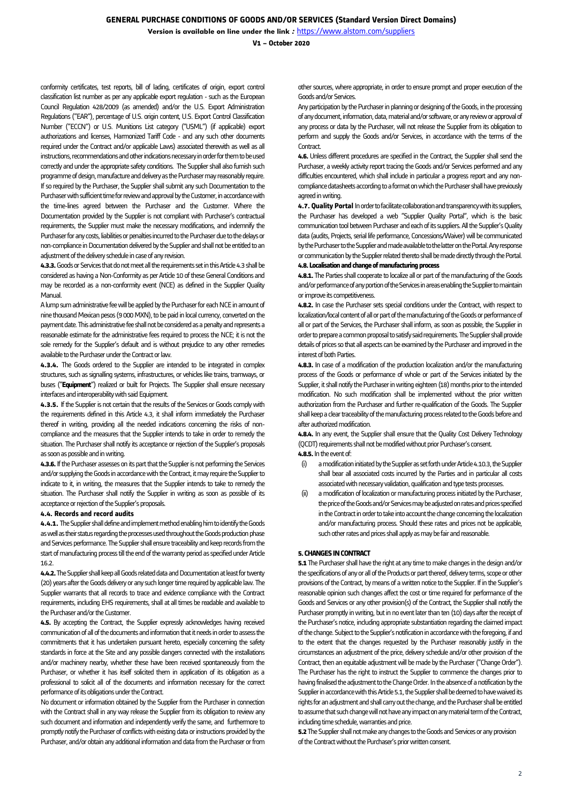**V1 – October 2020**

conformity certificates, test reports, bill of lading, certificates of origin, export control classification list number as per any applicable export regulation - such as the European Council Regulation 428/2009 (as amended) and/or the U.S. Export Administration Regulations ("EAR"), percentage of U.S. origin content, U.S. Export Control Classification Number ("ECCN") or U.S. Munitions List category ("USML") (if applicable) export authorizations and licenses, Harmonized Tariff Code - and any such other documents required under the Contract and/or applicable Laws) associated therewith as well as all instructions, recommendations and other indications necessary in order for them to be used correctly and under the appropriate safety conditions. The Supplier shall also furnish such programme of design, manufacture and delivery as the Purchaser may reasonably require. If so required by the Purchaser, the Supplier shall submit any such Documentation to the Purchaser with sufficient time for review and approval by the Customer, in accordance with the time-lines agreed between the Purchaser and the Customer. Where the Documentation provided by the Supplier is not compliant with Purchaser's contractual requirements, the Supplier must make the necessary modifications, and indemnify the Purchaser for any costs, liabilities or penalties incurred to the Purchaser due to the delays or non-compliance in Documentation delivered by the Supplier and shall not be entitled to an adjustment of the delivery schedule in case of any revision.

**4.3.3.** Goods or Services that do not meet all the requirements set in this Article 4.3 shall be considered as having a Non-Conformity as per Article 10 of these General Conditions and may be recorded as a non-conformity event (NCE) as defined in the Supplier Quality Manual.

A lump sum administrative fee will be applied by the Purchaser for each NCE in amount of nine thousand Mexican pesos (9000 MXN), to be paid in local currency, converted on the payment date. This administrative fee shall not be considered as a penalty and represents a reasonable estimate for the administrative fees required to process the NCE; it is not the sole remedy for the Supplier's default and is without prejudice to any other remedies available to the Purchaser under the Contract or law.

**4.3.4.** The Goods ordered to the Supplier are intended to be integrated in complex structures, such as signalling systems, infrastructures, or vehicles like trains, tramways, or buses ("**Equipment**") realized or built for Projects. The Supplier shall ensure necessary interfaces and interoperability with said Equipment.

**4.3.5.** If the Supplier is not certain that the results of the Services or Goods comply with the requirements defined in this Article 4.3, it shall inform immediately the Purchaser thereof in writing, providing all the needed indications concerning the risks of noncompliance and the measures that the Supplier intends to take in order to remedy the situation. The Purchaser shall notify its acceptance or rejection of the Supplier's proposals as soon as possible and in writing.

**4.3.6.** If the Purchaser assesses on its part that the Supplier is not performing the Services and/or supplying the Goods in accordance with the Contract, it may require the Supplier to indicate to it, in writing, the measures that the Supplier intends to take to remedy the situation. The Purchaser shall notify the Supplier in writing as soon as possible of its acceptance or rejection of the Supplier's proposals.

### **4.4. Records and record audits**

**4.4.1.** The Supplier shall define and implement method enabling him to identify the Goods as well as their status regarding the processes used throughout the Goods production phase and Services performance. The Supplier shall ensure traceability and keep records from the start of manufacturing process till the end of the warranty period as specified under Article 16.2.

**4.4.2.**The Supplier shall keep all Goods related data and Documentation at least for twenty (20) years after the Goods delivery or any such longer time required by applicable law. The Supplier warrants that all records to trace and evidence compliance with the Contract requirements, including EHS requirements, shall at all times be readable and available to the Purchaser and/or the Customer.

**4.5.** By accepting the Contract, the Supplier expressly acknowledges having received communication of all of the documents and information that it needs in order to assess the commitments that it has undertaken pursuant hereto, especially concerning the safety standards in force at the Site and any possible dangers connected with the installations and/or machinery nearby, whether these have been received spontaneously from the Purchaser, or whether it has itself solicited them in application of its obligation as a professional to solicit all of the documents and information necessary for the correct performance of its obligations under the Contract.

No document or information obtained by the Supplier from the Purchaser in connection with the Contract shall in any way release the Supplier from its obligation to review any such document and information and independently verify the same, and furthermore to promptly notify the Purchaser of conflicts with existing data or instructions provided by the Purchaser, and/or obtain any additional information and data from the Purchaser or from other sources, where appropriate, in order to ensure prompt and proper execution of the Goods and/or Services.

Any participation by the Purchaser in planning or designing of the Goods, in the processing of any document, information, data, material and/or software, or any review or approval of any process or data by the Purchaser, will not release the Supplier from its obligation to perform and supply the Goods and/or Services, in accordance with the terms of the **Contract** 

**4.6.** Unless different procedures are specified in the Contract, the Supplier shall send the Purchaser, a weekly activity report tracing the Goods and/or Services performed and any difficulties encountered, which shall include in particular a progress report and any noncompliance datasheets according to a format on which the Purchaser shall have previously agreed in writing.

**4.7. Quality Portal** In order to facilitate collaboration and transparency with its suppliers, the Purchaser has developed a web "Supplier Quality Portal", which is the basic communication tool between Purchaser and each of its suppliers. All the Supplier's Quality data (audits, Projects, serial life performance, Concessions/Waiver) will be communicated by the Purchaser to the Supplierand made available to the latter on the Portal. Any response or communication by the Supplier related thereto shall be made directly through the Portal. **4.8.Localisation and change of manufacturing process** 

**4.8.1.** The Parties shall cooperate to localize all or part of the manufacturing of the Goods and/or performance of any portion of the Services in areas enabling the Supplier to maintain or improve its competitiveness.

**4.8.2.** In case the Purchaser sets special conditions under the Contract, with respect to localization/local content of all or part of the manufacturing of the Goods or performance of all or part of the Services, the Purchaser shall inform, as soon as possible, the Supplier in order to prepare a common proposal to satisfy said requirements. The Supplier shall provide details of prices so that all aspects can be examined by the Purchaser and improved in the interest of both Parties.

**4.8.3.** In case of a modification of the production localization and/or the manufacturing process of the Goods or performance of whole or part of the Services initiated by the Supplier, it shall notify the Purchaser in writing eighteen (18) months prior to the intended modification. No such modification shall be implemented without the prior written authorization from the Purchaser and further re-qualification of the Goods. The Supplier shall keep a clear traceability of the manufacturing process related to the Goods before and after authorized modification.

**4.8.4.** In any event, the Supplier shall ensure that the Quality Cost Delivery Technology (QCDT) requirements shall not be modified without prior Purchaser's consent. **4.8.5.**In the event of:

(i) a modification initiated bythe Supplier as set forth under Article 4.10.3, the Supplier shall bear all associated costs incurred by the Parties and in particular all costs associated with necessary validation, qualification and type tests processes.

(ii) a modification of localization or manufacturing process initiated by the Purchaser, the price of the Goods and/or Services may be adjusted on rates and prices specified in the Contract in order to take into account the change concerning the localization and/or manufacturing process. Should these rates and prices not be applicable, such other rates and prices shall apply as may be fair and reasonable.

#### **5. CHANGES IN CONTRACT**

**5.1** The Purchaser shall have the right at any time to make changes in the design and/or the specifications of any or all of the Products or part thereof, delivery terms, scope or other provisions of the Contract, by means of a written notice to the Supplier. If in the Supplier's reasonable opinion such changes affect the cost or time required for performance of the Goods and Services or any other provision(s) of the Contract, the Supplier shall notify the Purchaser promptly in writing, but in no event later than ten (10) days after the receipt of the Purchaser's notice, including appropriate substantiation regarding the claimed impact of the change. Subject to the Supplier's notification in accordance with the foregoing, if and to the extent that the changes requested by the Purchaser reasonably justify in the circumstances an adjustment of the price, delivery schedule and/or other provision of the Contract, then an equitable adjustment will be made by the Purchaser ("Change Order"). The Purchaser has the right to instruct the Supplier to commence the changes prior to having finalised the adjustment to the Change Order. In the absence of a notification by the Supplier in accordance with this Article 5.1, the Supplier shall be deemed to have waived its rights for an adjustment and shall carry out the change, and the Purchaser shall be entitled to assume that such change will not have any impact on any material term of the Contract, including time schedule, warranties and price.

**5.2** The Supplier shall not make any changes to the Goods and Services or any provision of the Contract without the Purchaser's prior written consent.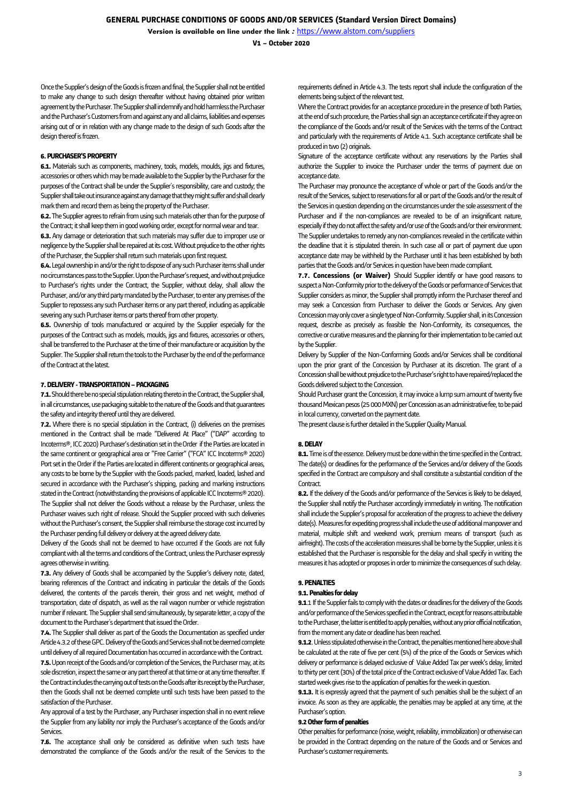**V1 – October 2020**

Once the Supplier's design of the Goods is frozen and final, the Supplier shall not be entitled to make any change to such design thereafter without having obtained prior written agreement by the Purchaser. The Supplier shall indemnify and hold harmless the Purchaser and the Purchaser's Customers from and against any and all claims, liabilities and expenses arising out of or in relation with any change made to the design of such Goods after the design thereof is frozen.

## **6. PURCHASER'S PROPERTY**

**6.1.** Materials such as components, machinery, tools, models, moulds, jigs and fixtures, accessories or others which may be made available to the Supplier by the Purchaser for the purposes of the Contract shall be under the Supplier's responsibility, care and custody; the Supplier shall take out insurance against anydamage that they might suffer and shall clearly mark them and record them as being the property of the Purchaser.

**6.2.** The Supplier agrees to refrain from using such materials other than for the purpose of the Contract; it shall keep them in good working order, except for normal wear and tear.

**6.3.** Any damage or deterioration that such materials may suffer due to improper use or negligence by the Supplier shall be repaired at its cost. Without prejudice to the other rights of the Purchaser, the Supplier shall return such materials upon first request.

**6.4.**Legal ownership in and/or the right to dispose of any such Purchaser items shall under no circumstances pass to the Supplier. Upon the Purchaser's request, and without prejudice to Purchaser's rights under the Contract, the Supplier, without delay, shall allow the Purchaser, and/or any third party mandated by the Purchaser, to enter any premises of the Supplier to repossess any such Purchaser items or any part thereof, including as applicable severing any such Purchaser items or parts thereof from other property.

**6.5.** Ownership of tools manufactured or acquired by the Supplier especially for the purposes of the Contract such as models, moulds, jigs and fixtures, accessories or others, shall be transferred to the Purchaser at the time of their manufacture or acquisition by the Supplier. The Supplier shall return the tools to the Purchaser by the end of the performance of the Contract at the latest.

## **7. DELIVERY - TRANSPORTATION –PACKAGING**

**7.1.** Should there beno special stipulation relating thereto in the Contract, the Supplier shall, in all circumstances, use packaging suitable to the nature of the Goods and that guarantees the safety and integrity thereof until they are delivered.

**7.2.** Where there is no special stipulation in the Contract, (i) deliveries on the premises mentioned in the Contract shall be made "Delivered At Place" ("DAP" according to Incoterms®, ICC 2020) Purchaser's destination set in the Order if the Parties are located in the same continent or geographical area or "Free Carrier" ("FCA" ICC Incoterms® 2020) Port set in the Order if the Parties are located in different continents or geographical areas, any costs to be borne by the Supplier with the Goods packed, marked, loaded, lashed and secured in accordance with the Purchaser's shipping, packing and marking instructions stated in the Contract (notwithstanding the provisions of applicable ICC Incoterms® 2020). The Supplier shall not deliver the Goods without a release by the Purchaser, unless the Purchaser waives such right of release. Should the Supplier proceed with such deliveries without the Purchaser's consent, the Supplier shall reimburse the storage cost incurred by the Purchaser pending full delivery or delivery at the agreed delivery date.

Delivery of the Goods shall not be deemed to have occurred if the Goods are not fully compliant with all the terms and conditions of the Contract, unless the Purchaser expressly agrees otherwise in writing.

**7.3.** Any delivery of Goods shall be accompanied by the Supplier's delivery note, dated, bearing references of the Contract and indicating in particular the details of the Goods delivered, the contents of the parcels therein, their gross and net weight, method of transportation, date of dispatch, as well as the rail wagon number or vehicle registration number if relevant. The Supplier shall send simultaneously, by separate letter, a copy of the document to the Purchaser's department that issued the Order.

**7.4.** The Supplier shall deliver as part of the Goods the Documentation as specified under Article 4.3.2 of theseGPC. Delivery of the Goods and Services shall not be deemed complete until delivery of all required Documentation has occurred in accordance with the Contract. 7.5. Upon receipt of the Goods and/or completion of the Services, the Purchaser may, at its sole discretion, inspect the same or any part thereof at that time or at any time thereafter. If the Contract includes the carrying out of tests on the Goods after its receipt by the Purchaser, then the Goods shall not be deemed complete until such tests have been passed to the satisfaction of the Purchaser.

Any approval of a test by the Purchaser, any Purchaser inspection shall in no event relieve the Supplier from any liability nor imply the Purchaser's acceptance of the Goods and/or Services.

**7.6.** The acceptance shall only be considered as definitive when such tests have demonstrated the compliance of the Goods and/or the result of the Services to the

requirements defined in Article 4.3. The tests report shall include the configuration of the elements being subject of the relevant test.

Where the Contract provides for an acceptance procedure in the presence of both Parties, at the end of such procedure, the Parties shall sign an acceptance certificate if they agree on the compliance of the Goods and/or result of the Services with the terms of the Contract and particularly with the requirements of Article 4.1. Such acceptance certificate shall be produced in two (2) originals.

Signature of the acceptance certificate without any reservations by the Parties shall authorize the Supplier to invoice the Purchaser under the terms of payment due on acceptance date.

The Purchaser may pronounce the acceptance of whole or part of the Goods and/or the result of the Services, subject to reservations for all or part of the Goods and/or the result of the Services in question depending on the circumstances under the sole assessment of the Purchaser and if the non-compliances are revealed to be of an insignificant nature, especially if they do not affect the safety and/or use of the Goods and/or their environment. The Supplier undertakes to remedy any non-compliances revealed in the certificate within the deadline that it is stipulated therein. In such case all or part of payment due upon acceptance date may be withheld by the Purchaser until it has been established by both parties that the Goods and/or Services in question have been made compliant.

**7.7. Concessions (or Waiver)** Should Supplier identify or have good reasons to suspect a Non-Conformity prior to the delivery of the Goods or performance of Services that Supplier considers as minor, the Supplier shall promptly inform the Purchaser thereof and may seek a Concession from Purchaser to deliver the Goods or Services. Any given Concession may only cover a single type of Non-Conformity. Supplier shall, in its Concession request, describe as precisely as feasible the Non-Conformity, its consequences, the corrective or curative measures and the planning for their implementation to be carried out by the Supplier.

Delivery by Supplier of the Non-Conforming Goods and/or Services shall be conditional upon the prior grant of the Concession by Purchaser at its discretion. The grant of a Concession shall be without prejudice to the Purchaser's right to have repaired/replaced the Goods delivered subject to the Concession.

Should Purchaser grant the Concession, it may invoice a lump sum amount of twenty five thousand Mexican pesos(25000MXN) per Concession as an administrative fee, to be paid in local currency, converted on the payment date.

The present clause is further detailed in the Supplier Quality Manual.

### **8. DELAY**

**8.1.** Time is of the essence. Delivery must be done within the time specified in the Contract. The date(s) or deadlines for the performance of the Services and/or delivery of the Goods specified in the Contract are compulsory and shall constitute a substantial condition of the Contract.

**8.2.** If the delivery of the Goods and/or performance of the Services is likely to be delayed, the Supplier shall notify the Purchaser accordingly immediately in writing. The notification shall include the Supplier's proposal for acceleration of the progress to achieve the delivery date(s). Measures for expediting progress shall include the use of additional manpower and material, multiple shift and weekend work, premium means of transport (such as airfreight). The costs of the acceleration measures shall be borne by the Supplier, unless it is established that the Purchaser is responsible for the delay and shall specify in writing the measures it has adopted or proposes in order to minimize the consequences of such delay.

### **9. PENALTIES**

#### **9.1. Penalties for delay**

**9.1**.1 If the Supplier fails to comply with the dates or deadlines for the delivery of the Goods and/or performance of the Services specified in the Contract, except for reasons attributable to the Purchaser, the latter is entitled to apply penalties, without any prior official notification, from the moment any date or deadline has been reached.

**9.1.2**. Unless stipulated otherwise in the Contract, the penalties mentioned here above shall be calculated at the rate of five per cent (5%) of the price of the Goods or Services which delivery or performance is delayed exclusive of Value Added Tax per week's delay, limited to thirty per cent (30%) of the total price of the Contract exclusive of Value Added Tax. Each started week gives rise to the application of penalties for the week in question.

**9.1.3.** It is expressly agreed that the payment of such penalties shall be the subject of an invoice. As soon as they are applicable, the penalties may be applied at any time, at the Purchaser's option.

#### **9.2 Other form of penalties**

Other penalties for performance (noise, weight, reliability, immobilization) or otherwise can be provided in the Contract depending on the nature of the Goods and or Services and Purchaser's customer requirements.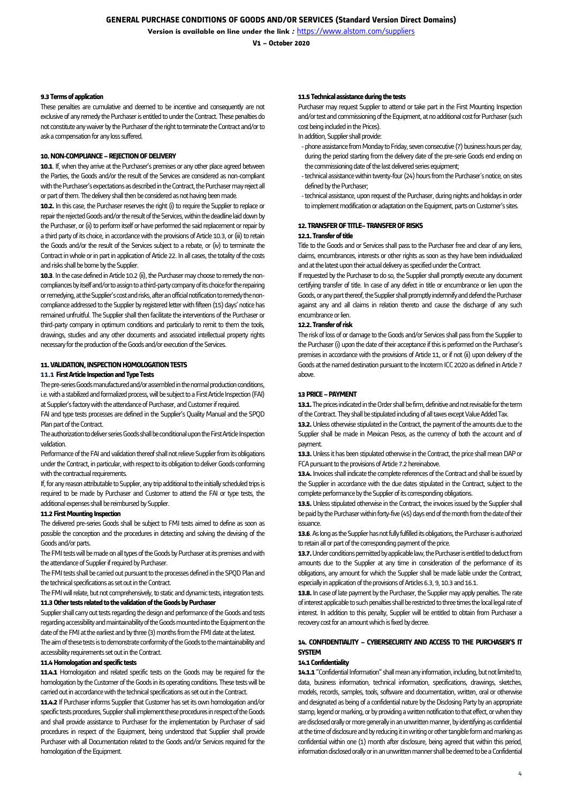**V1 – October 2020**

### **9.3 Terms of application**

These penalties are cumulative and deemed to be incentive and consequently are not exclusive of any remedy the Purchaser is entitled to under the Contract. These penalties do not constitute any waiver by the Purchaser of the right to terminate the Contract and/or to ask a compensation for any loss suffered.

## **10. NON-COMPLIANCE –REJECTION OF DELIVERY**

**10.1**. If, when they arrive at the Purchaser's premises or any other place agreed between the Parties, the Goods and/or the result of the Services are considered as non-compliant with the Purchaser's expectations as described in the Contract, the Purchasermay reject all or part of them. The delivery shall then be considered as not having been made.

**10.2.** In this case, the Purchaser reserves the right (i) to require the Supplier to replace or repair the rejected Goods and/or the result of the Services, within the deadline laid down by the Purchaser, or (ii) to perform itself or have performed the said replacement or repair by a third party of its choice, in accordance with the provisions of Article 10.3, or (iii) to retain the Goods and/or the result of the Services subject to a rebate, or (iv) to terminate the Contract in whole or in part in application of Article 22. In all cases, the totality of the costs and risks shall be borne by the Supplier.

**10.3**. In the case defined in Article 10.2 (ii), the Purchaser may choose to remedy the noncompliances by itself and/or to assign to a third-party company of its choice for the repairing or remedying, at the Supplier's cost and risks, after an official notification to remedy the noncompliance addressed to the Supplier by registered letter with fifteen (15) days' notice has remained unfruitful. The Supplier shall then facilitate the interventions of the Purchaser or third-party company in optimum conditions and particularly to remit to them the tools, drawings, studies and any other documents and associated intellectual property rights necessary for the production of the Goods and/or execution of the Services.

# **11. VALIDATION, INSPECTION HOMOLOGATION TESTS**

# **11.1 First Article Inspection and Type Tests**

The pre-series Goods manufactured and/or assembled in the normal production conditions, i.e. with a stabilized and formalized process, will be subject to a First Article Inspection (FAI) at Supplier's factory with the attendance of Purchaser, and Customer if required.

FAI and type tests processes are defined in the Supplier's Quality Manual and the SPQD Plan part of the Contract.

The authorization to deliver series Goods shall be conditional upon the First Article Inspection validation.

Performance of the FAI and validation thereof shall not relieve Supplier from its obligations under the Contract, in particular, with respect to its obligation to deliver Goods conforming with the contractual requirements.

If, for any reason attributable to Supplier, any trip additional to the initially scheduled trips is required to be made by Purchaser and Customer to attend the FAI or type tests, the additional expenses shall be reimbursed by Supplier.

### **11.2 First Mounting Inspection**

The delivered pre-series Goods shall be subject to FMI tests aimed to define as soon as possible the conception and the procedures in detecting and solving the devising of the Goods and/or parts.

The FMI tests will be made on all types of the Goods by Purchaser at its premises and with the attendance of Supplier if required by Purchaser.

The FMI tests shall be carried out pursuant to the processes defined in the SPQD Plan and the technical specifications as set out in the Contract.

The FMI will relate, but not comprehensively, to static and dynamic tests, integration tests. **11.3Other tests related to the validation of the Goods by Purchaser**

Supplier shall carry out tests regarding the design and performance of the Goods and tests regarding accessibility and maintainability of the Goodsmounted into the Equipmenton the date of the FMI at the earliest and by three (3) months from the FMI date at the latest. The aim of these tests is to demonstrate conformity of the Goods to the maintainability and accessibility requirements set out in the Contract.

### **11.4Homologation and specific tests**

**11.4.1** Homologation and related specific tests on the Goods may be required for the homologation by the Customer of the Goods in its operating conditions. These tests will be carried out in accordance with the technical specifications as set out in the Contract.

**11.4.2** If Purchaser informs Supplier that Customer has set its own homologation and/or specific tests procedures, Supplier shall implement these procedures in respect of the Goods and shall provide assistance to Purchaser for the implementation by Purchaser of said procedures in respect of the Equipment, being understood that Supplier shall provide Purchaser with all Documentation related to the Goods and/or Services required for the homologation of the Equipment.

### **11.5 Technical assistance during the tests**

Purchaser may request Supplier to attend or take part in the First Mounting Inspection and/or test and commissioning of the Equipment, at no additional cost for Purchaser (such cost being included in the Prices).

In addition, Supplier shall provide:

- phone assistance from Monday to Friday, seven consecutive (7) business hours per day, during the period starting from the delivery date of the pre-serie Goods end ending on the commissioning date of the last delivered series equipment;
- -technical assistance within twenty-four (24) hours from the Purchaser's notice, on sites defined by the Purchaser;
- -technical assistance, upon request of the Purchaser, during nights and holidays in order to implement modification or adaptation on the Equipment, parts on Customer's sites.

## **12. TRANSFER OF TITLE–TRANSFER OF RISKS**

### **12.1. Transfer of title**

Title to the Goods and or Services shall pass to the Purchaser free and clear of any liens, claims, encumbrances, interests or other rights as soon as they have been individualized and at the latest upon their actual delivery as specified under the Contract.

If requested by the Purchaser to do so, the Supplier shall promptly execute any document certifying transfer of title. In case of any defect in title or encumbrance or lien upon the Goods, or any part thereof, the Supplier shall promptly indemnify and defend the Purchaser against any and all claims in relation thereto and cause the discharge of any such encumbrance or lien.

### **12.2. Transfer of risk**

The risk of loss of or damage to the Goods and/or Services shall pass from the Supplier to the Purchaser (i) upon the date of their acceptance if this is performed on the Purchaser's premises in accordance with the provisions of Article 11, or if not (ii) upon delivery of the Goods at the named destination pursuant to the Incoterm ICC 2020 as defined in Article 7 above.

## **13 PRICE –PAYMENT**

**13.1.** The prices indicated in the Order shall be firm, definitive and not revisable for the term of the Contract. They shall be stipulated including of all taxes except Value Added Tax.

**13.2.** Unless otherwise stipulated in the Contract, the payment of the amounts due to the Supplier shall be made in Mexican Pesos, as the currency of both the account and of payment.

**13.3.** Unless it has been stipulated otherwise in the Contract, the price shall mean DAP or FCA pursuant to the provisions of Article 7.2 hereinabove.

**13.4.** Invoices shall indicate the complete references of the Contract and shall be issued by the Supplier in accordance with the due dates stipulated in the Contract, subject to the complete performance by the Supplier of its corresponding obligations.

**13.5.** Unless stipulated otherwise in the Contract, the invoices issued by the Supplier shall be paid by the Purchaser within forty-five (45) days end of the month from the date of their issuance.

**13.6**. As long as the Supplier has not fully fulfilled its obligations, the Purchaser is authorized to retain all or part of the corresponding payment of the price.

**13.7.** Under conditions permitted by applicable law, the Purchaser is entitled to deduct from amounts due to the Supplier at any time in consideration of the performance of its obligations, any amount for which the Supplier shall be made liable under the Contract, especially in application of the provisions of Articles 6.3, 9, 10.3 and 16.1.

**13.8.** In case of late payment by the Purchaser, the Supplier may apply penalties. The rate of interest applicable to such penalties shall be restricted to three times the locallegal rate of interest. In addition to this penalty, Supplier will be entitled to obtain from Purchaser a recovery cost for an amount which is fixed by decree.

# **14. CONFIDENTIALITY – CYBERSECURITY AND ACCESS TO THE PURCHASER'S IT SYSTEM**

# **14.1 Confidentiality**

**14.1.1**"Confidential Information" shall mean any information, including, but not limited to, data, business information, technical information, specifications, drawings, sketches, models, records, samples, tools, software and documentation, written, oral or otherwise and designated as being of a confidential nature by the Disclosing Party by an appropriate stamp, legend or marking, or by providing a written notification to that effect, or when they are disclosed orally or more generally in an unwritten manner, by identifying as confidential at the time of disclosure and by reducing it in writing or other tangible form and marking as confidential within one (1) month after disclosure, being agreed that within this period, information disclosed orally or in an unwritten manner shall be deemed to be a Confidential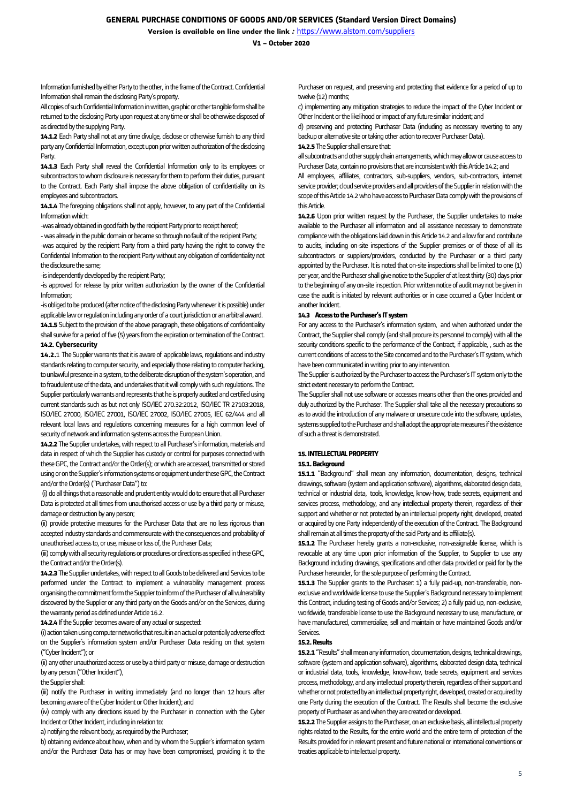**V1 – October 2020**

Information furnished by either Party to the other, in the frame of the Contract. Confidential Information shall remain the disclosing Party's property.

All copies of such Confidential Information in written, graphic or other tangible form shall be returned to the disclosing Party upon request at any time or shall be otherwise disposed of as directed by the supplying Party.

**14.1.2** Each Party shall not at any time divulge, disclose or otherwise furnish to any third party any Confidential Information, except upon priorwritten authorization of the disclosing Party.

**14.1.3** Each Party shall reveal the Confidential Information only to its employees or subcontractors to whom disclosure is necessary for them to perform their duties, pursuant to the Contract. Each Party shall impose the above obligation of confidentiality on its employees and subcontractors.

**14.1.4** The foregoing obligations shall not apply, however, to any part of the Confidential Information which:

-was already obtained in good faith by the recipient Party prior to receipt hereof;

-was already in the public domain or became so through no fault of the recipient Party;

-was acquired by the recipient Party from a third party having the right to convey the Confidential Information to the recipient Party without any obligation of confidentiality not the disclosure the same;

-is independently developed by the recipient Party;

-is approved for release by prior written authorization by the owner of the Confidential Information;

-is obliged to be produced (after notice of the disclosing Party whenever it is possible) under applicable law or regulation including any order of a court jurisdiction or an arbitral award. **14.1.5** Subject to the provision of the above paragraph, these obligations of confidentiality shall survive for a period of five (5) years from the expiration or termination of the Contract. **14.2. Cybersecurity**

**14.2.**1 The Supplier warrants that it is aware of applicable laws, regulations and industry standards relating to computer security, and especially those relating to computer hacking, to unlawful presence in a system, to the deliberate disruption of the system's operation, and to fraudulent use of the data, and undertakes that it will comply with such regulations. The Supplier particularly warrants and represents that he is properly audited and certified using current standards such as but not only ISO/IEC 270.32:2012, ISO/IEC TR 27103:2018, ISO/IEC 27000, ISO/IEC 27001, ISO/IEC 27002, ISO/IEC 27005, IEC 62/444 and all relevant local laws and regulations concerning measures for a high common level of security of network and information systems across the European Union.

**14.2.2** The Supplier undertakes, with respect to all Purchaser's information, materials and data in respect of which the Supplier has custody or control for purposes connected with these GPC, the Contract and/or the Order(s); or which are accessed, transmitted or stored using or on the Supplier's information systems or equipment under these GPC, the Contract and/or the Order(s) ("Purchaser Data") to:

(i) do all things that a reasonable and prudent entity would do to ensure that all Purchaser Data is protected at all times from unauthorised access or use by a third party or misuse, damage or destruction by any person;

(ii) provide protective measures for the Purchaser Data that are no less rigorous than accepted industry standards and commensurate with the consequences and probability of unauthorised access to, or use, misuse or loss of, the Purchaser Data;

(iii) comply with all security regulations or procedures or directions as specified in these GPC, the Contract and/or the Order(s).

**14.2.3**The Supplier undertakes, with respect to all Goods to be delivered and Services to be performed under the Contract to implement a vulnerability management process organising the commitment form the Supplier to inform of the Purchaser of all vulnerability discovered by the Supplier or any third party on the Goods and/or on the Services, during the warranty period as defined under Article 16.2.

**14.2.4** If the Supplier becomes aware of any actual or suspected:

(i) action taken using computer networks that result in an actual or potentially adverse effect on the Supplier's information system and/or Purchaser Data residing on that system ("Cyber Incident"); or

(ii) any other unauthorized access or use by a third party or misuse, damage or destruction by any person ("Other Incident"),

the Supplier shall:

(iii) notify the Purchaser in writing immediately (and no longer than 12 hours after becoming aware of the Cyber Incident or Other Incident); and

(iv) comply with any directions issued by the Purchaser in connection with the Cyber Incident or Other Incident, including in relation to:

a) notifying the relevant body, as required by the Purchaser;

b) obtaining evidence about how, when and by whom the Supplier's information system and/or the Purchaser Data has or may have been compromised, providing it to the

Purchaser on request, and preserving and protecting that evidence for a period of up to twelve (12) months;

c) implementing any mitigation strategies to reduce the impact of the Cyber Incident or Other Incident or the likelihood or impact of any future similar incident; and

d) preserving and protecting Purchaser Data (including as necessary reverting to any backup or alternative site or taking other action to recover Purchaser Data). **14.2.5** The Supplier shall ensure that:

all subcontracts and other supply chain arrangements, which may allow or cause access to Purchaser Data, contain no provisions that are inconsistent with this Article 14.2; and

All employees, affiliates, contractors, sub-suppliers, vendors, sub-contractors, internet service provider; cloud service providers and all providers of the Supplier in relation with the scope of this Article 14.2 who have access to Purchaser Data comply with the provisions of this Article.

**14.2.6** Upon prior written request by the Purchaser, the Supplier undertakes to make available to the Purchaser all information and all assistance necessary to demonstrate compliance with the obligations laid down in this Article 14.2 and allow for and contribute to audits, including on-site inspections of the Supplier premises or of those of all its subcontractors or suppliers/providers, conducted by the Purchaser or a third party appointed by the Purchaser. It is noted that on-site inspections shall be limited to one (1) per year, and the Purchaser shall give notice to the Supplier of at least thirty (30) days prior to the beginning of any on-site inspection. Prior written notice of audit may not be given in case the audit is initiated by relevant authorities or in case occurred a Cyber Incident or another Incident.

### **14.3 Access to the Purchaser's IT system**

For any access to the Purchaser's information system, and when authorized under the Contract, the Supplier shall comply (and shall procure its personnel to comply) with all the security conditions specific to the performance of the Contract, if applicable, , such as the current conditions of access to the Site concerned and to the Purchaser's IT system, which have been communicated in writing prior to any intervention.

The Supplier is authorized by the Purchaser to access the Purchaser's IT system only to the strict extent necessary to perform the Contract.

The Supplier shall not use software or accesses means other than the ones provided and duly authorized by the Purchaser. The Supplier shall take all the necessary precautions so as to avoid the introduction of any malware or unsecure code into the software, updates, systems supplied to the Purchaser and shall adopt the appropriate measures if the existence of such a threat is demonstrated.

# **15. INTELLECTUAL PROPERTY**

### **15.1. Background**

**15.1.1** "Background" shall mean any information, documentation, designs, technical drawings, software (system and application software), algorithms, elaborated design data, technical or industrial data, tools, knowledge, know-how, trade secrets, equipment and services process, methodology, and any intellectual property therein, regardless of their support and whether or not protected by an intellectual property right, developed, created or acquired by one Party independently of the execution of the Contract. The Background shall remain at all times the property of the said Party and its affiliate(s).

**15.1.2** The Purchaser hereby grants a non-exclusive, non-assignable license, which is revocable at any time upon prior information of the Supplier, to Supplier to use any Background including drawings, specifications and other data provided or paid for by the Purchaser hereunder, for the sole purpose of performing the Contract.

**15.1.3** The Supplier grants to the Purchaser: 1) a fully paid-up, non-transferable, nonexclusive and worldwide license to use the Supplier's Background necessary to implement this Contract, including testing of Goods and/or Services; 2) a fully paid up, non-exclusive, worldwide, transferable license to use the Background necessary to use, manufacture, or have manufactured, commercialize, sell and maintain or have maintained Goods and/or Services.

### **15.2. Results**

**15.2.1**"Results" shall mean any information, documentation, designs, technical drawings, software (system and application software), algorithms, elaborated design data, technical or industrial data, tools, knowledge, know-how, trade secrets, equipment and services process, methodology, and any intellectual property therein, regardless of their support and whether or not protected by an intellectual property right, developed, created or acquired by one Party during the execution of the Contract. The Results shall become the exclusive property of Purchaser as and when they are created or developed.

**15.2.2** The Supplier assigns to the Purchaser, on an exclusive basis, all intellectual property rights related to the Results, for the entire world and the entire term of protection of the Results provided for in relevant present and future national or international conventions or treaties applicable to intellectual property.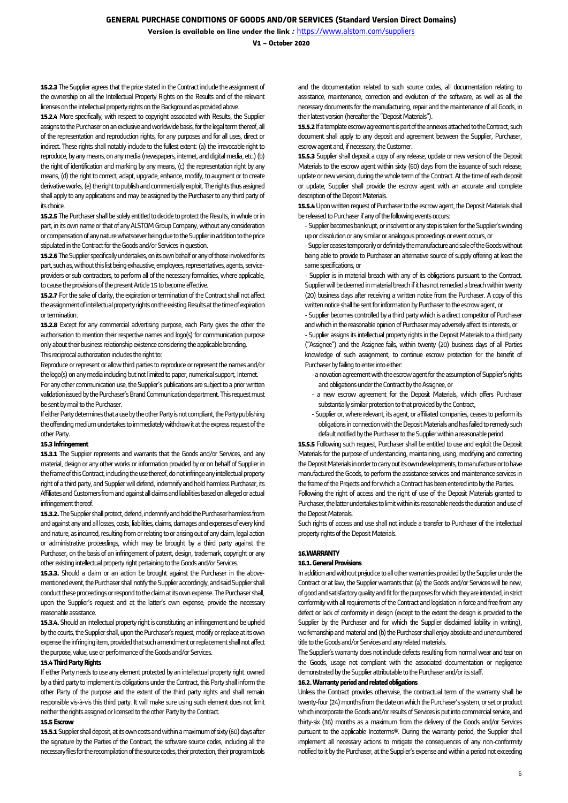# **GENERAL PURCHASE CONDITIONS OF GOODS AND/OR SERVICES (Standard Version Direct Domains)**

**Version is available on line under the link** *:* <https://www.alstom.com/suppliers>

**V1 – October 2020**

**15.2.3** The Supplier agrees that the price stated in the Contract include the assignment of the ownership on all the Intellectual Property Rights on the Results and of the relevant licenses on the intellectual property rights on the Background as provided above.

**15.2.4** More specifically, with respect to copyright associated with Results, the Supplier assigns to the Purchaser on an exclusive and worldwide basis, for the legal term thereof, all of the representation and reproduction rights, for any purposes and for all uses, direct or indirect. These rights shall notably include to the fullest extent: (a) the irrevocable right to reproduce, by any means, on any media (newspapers, internet, and digital media, etc.) (b) the right of identification and marking by any means, (c) the representation right by any means, (d) the right to correct, adapt, upgrade, enhance, modify, to augment or to create derivative works, (e) the right to publish and commercially exploit. The rights thus assigned shall apply to any applications and may be assigned by the Purchaser to any third party of its choice.

**15.2.5** The Purchaser shall be solely entitled to decide to protect the Results, in whole or in part, in its own name or that of any ALSTOM Group Company, without any consideration or compensation of any nature whatsoever being due to the Supplier in addition to the price stipulated in the Contract for the Goods and/or Services in question.

**15.2.6** The Supplier specifically undertakes, on its own behalf or any of those involved for its part, such as, without this list being exhaustive, employees, representatives, agents, serviceproviders or sub-contractors, to perform all of the necessary formalities, where applicable, to cause the provisions of the present Article 15 to become effective.

**15.2.7** For the sake of clarity, the expiration or termination of the Contract shall not affect the assignment of intellectual property rights on the existing Results at the time of expiration or termination.

**15.2.8** Except for any commercial advertising purpose, each Party gives the other the authorisation to mention their respective names and logo(s) for communication purpose only about their business relationship existence considering the applicable branding. This reciprocal authorization includes the right to:

Reproduce or represent or allow third parties to reproduce or represent the names and/or the logo(s) on any media including but not limited to paper, numerical support, Internet. For any other communication use, the Supplier's publications are subject to a prior written validation issued by the Purchaser's Brand Communication department. This request must be sent by mail to the Purchaser.

If either Party determines that a use by the other Party is not compliant, the Party publishing the offending medium undertakes to immediately withdraw it at the express request of the other Party.

#### **15.3 Infringement**

**15.3.1** The Supplier represents and warrants that the Goods and/or Services, and any material, design or any other works or information provided by or on behalf of Supplier in the frame of this Contract, including the use thereof, do not infringe any intellectual property right of a third party, and Supplier will defend, indemnify and hold harmless Purchaser, its Affiliates and Customers from and against all claims and liabilities based on alleged or actual infringement thereof.

**15.3.2.**The Supplier shall protect, defend, indemnify and hold the Purchaser harmless from and against any and all losses, costs, liabilities, claims, damages and expenses of every kind and nature, as incurred, resulting from or relating to or arising out of any claim, legal action or administrative proceedings, which may be brought by a third party against the Purchaser, on the basis of an infringement of patent, design, trademark, copyright or any other existing intellectual property right pertaining to the Goods and/or Services.

**15.3.3.** Should a claim or an action be brought against the Purchaser in the abovementioned event, the Purchaser shall notify the Supplier accordingly, and said Supplier shall conduct these proceedings or respond to the claim at its own expense. The Purchaser shall, upon the Supplier's request and at the latter's own expense, provide the necessary reasonable assistance.

**15.3.4.** Should an intellectual property right is constituting an infringement and be upheld by the courts, the Supplier shall, upon the Purchaser's request, modify or replace at its own expense the infringing item, provided that such amendment or replacement shall not affect the purpose, value, use or performance of the Goods and/or Services.

#### **15.4 Third Party Rights**

If either Party needs to use any element protected by an intellectual property right owned by a third party to implement its obligations under the Contract, this Party shall inform the other Party of the purpose and the extent of the third party rights and shall remain responsible vis-à-vis this third party. It will make sure using such element does not limit neither the rights assigned or licensed to the other Party by the Contract.

#### **15.5 Escrow**

**15.5.1**Supplier shall deposit, at its own costs and within a maximum of sixty (60) days after the signature by the Parties of the Contract, the software source codes, including all the necessary files for the recompilation of the source codes, their protection, their program tools

and the documentation related to such source codes, all documentation relating to assistance, maintenance, correction and evolution of the software, as well as all the necessary documents for the manufacturing, repair and the maintenance of all Goods, in their latest version (hereafter the "Deposit Materials").

**15.5.2**If a template escrow agreement is part of the annexes attached to the Contract, such document shall apply to any deposit and agreement between the Supplier, Purchaser, escrow agent and, if necessary, the Customer.

**15.5.3** Supplier shall deposit a copy of any release, update or new version of the Deposit Materials to the escrow agent within sixty (60) days from the issuance of such release, update or new version, during the whole term of the Contract. At the time of each deposit or update, Supplier shall provide the escrow agent with an accurate and complete description of the Deposit Materials.

**15.5.4**Upon written request of Purchaser to the escrow agent, the Deposit Materials shall be released to Purchaser if any of the following events occurs:

-Supplier becomes bankrupt, or insolvent or any step is taken for the Supplier's winding up or dissolution or any similar or analogous proceedings or event occurs, or

-Supplier ceases temporarily or definitely the manufacture and sale of the Goods without being able to provide to Purchaser an alternative source of supply offering at least the same specifications, or

- Supplier is in material breach with any of its obligations pursuant to the Contract. Supplier will be deemed in material breach if it has not remedied a breach within twenty (20) business days after receiving a written notice from the Purchaser. A copy of this written notice shall be sent for information by Purchaser to the escrow agent, or

-Supplier becomes controlled by a third party which is a direct competitor of Purchaser and which in the reasonable opinion of Purchaser may adversely affect its interests, or

- Supplier assigns its intellectual property rights in the Deposit Materials to a third party ("Assignee") and the Assignee fails, within twenty (20) business days of all Parties knowledge of such assignment, to continue escrow protection for the benefit of Purchaser by failing to enter into either:

- -a novation agreement with the escrow agent for the assumption of Supplier's rights and obligations under the Contract by the Assignee, or
- a new escrow agreement for the Deposit Materials, which offers Purchaser substantially similar protection to that provided by the Contract,
- Supplier or, where relevant, its agent, or affiliated companies, ceases to perform its obligations in connection with the Deposit Materials and has failed to remedy such default notified by the Purchaser to the Supplier within a reasonable period.

**15.5.5** Following such request, Purchaser shall be entitled to use and exploit the Deposit Materials for the purpose of understanding, maintaining, using, modifying and correcting the Deposit Materials in order to carry out its own developments, to manufacture or to have manufactured the Goods, to perform the assistance services and maintenance services in the frame of the Projects and for which a Contract has been entered into by the Parties.

Following the right of access and the right of use of the Deposit Materials granted to Purchaser, the latter undertakes to limit within its reasonable needs the duration anduse of the Deposit Materials.

Such rights of access and use shall not include a transfer to Purchaser of the intellectual property rights of the Deposit Materials.

#### **16.WARRANTY**

#### **16.1. General Provisions**

In addition and without prejudice to all other warranties provided by the Supplier under the Contract or at law, the Supplier warrants that (a) the Goods and/or Services will be new, of good and satisfactory quality and fit for the purposes for which they are intended, in strict conformity with all requirements of the Contract and legislation in force and free from any defect or lack of conformity in design (except to the extent the design is provided to the Supplier by the Purchaser and for which the Supplier disclaimed liability in writing), workmanship and material and (b) the Purchaser shall enjoy absolute and unencumbered title to the Goods and/or Services and any related materials.

The Supplier's warranty does not include defects resulting from normal wear and tear on the Goods, usage not compliant with the associated documentation or negligence demonstrated by the Supplier attributable to the Purchaser and/or its staff.

# **16.2. Warranty period and related obligations**

Unless the Contract provides otherwise, the contractual term of the warranty shall be twenty-four (24) months from the date on which the Purchaser's system, or set or product which incorporate the Goods and/or results of Services is put into commercial service, and thirty-six (36) months as a maximum from the delivery of the Goods and/or Services pursuant to the applicable Incoterms®. During the warranty period, the Supplier shall implement all necessary actions to mitigate the consequences of any non-conformity notified to it by the Purchaser, at the Supplier's expense and within a period not exceeding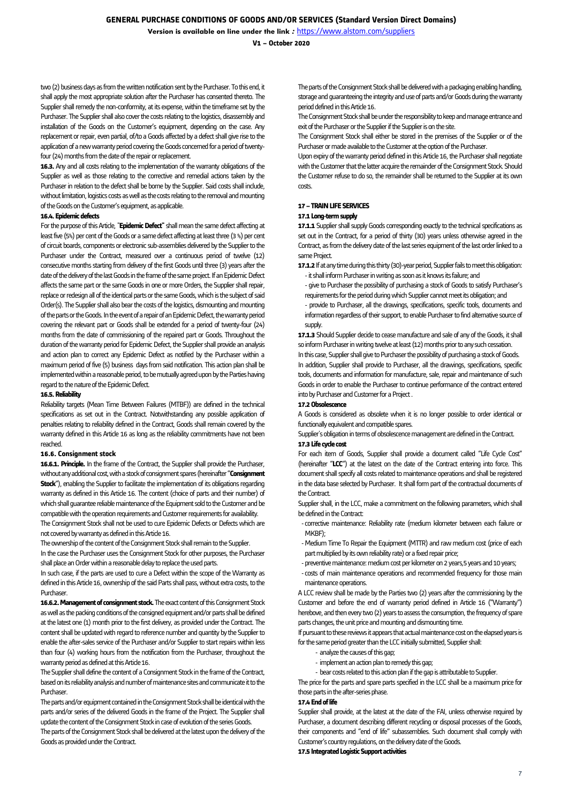**V1 – October 2020**

two (2) business days as from the written notification sent by the Purchaser. To this end, it shall apply the most appropriate solution after the Purchaser has consented thereto. The Supplier shall remedy the non-conformity, at its expense, within the timeframe set by the Purchaser. The Supplier shall also cover the costs relating to the logistics, disassembly and installation of the Goods on the Customer's equipment, depending on the case. Any replacement or repair, even partial, of/to a Goods affected by a defect shall give rise to the application of a new warranty period covering the Goods concerned for a period of twentyfour (24) months from the date of the repair or replacement.

**16.3.** Any and all costs relating to the implementation of the warranty obligations of the Supplier as well as those relating to the corrective and remedial actions taken by the Purchaser in relation to the defect shall be borne by the Supplier. Said costs shall include, without limitation, logistics costs as well as the costs relating to the removal and mounting of the Goods on the Customer's equipment, as applicable.

### **16.4. Epidemic defects**

For the purpose of this Article, "**Epidemic Defect"** shall mean the same defect affecting at least five (5%) per cent of the Goods or a same defect affecting at least three (3 %) per cent of circuit boards, components or electronic sub-assemblies delivered by the Supplier to the Purchaser under the Contract, measured over a continuous period of twelve (12) consecutive months starting from delivery of the first Goods until three (3) years after the date of the delivery of the last Goods in the frame of the same project. If an Epidemic Defect affects the same part or the same Goods in one or more Orders, the Supplier shall repair, replace or redesign all of the identical parts or the same Goods, which is the subject of said Order(s). The Supplier shall also bear the costs of the logistics, dismounting and mounting of the parts or the Goods. In the event of a repair of an Epidemic Defect, the warranty period covering the relevant part or Goods shall be extended for a period of twenty-four (24) months from the date of commissioning of the repaired part or Goods. Throughout the duration of the warranty period for Epidemic Defect, the Supplier shall provide an analysis and action plan to correct any Epidemic Defect as notified by the Purchaser within a maximum period of five (5) business days from said notification. This action plan shall be implemented within a reasonable period, to be mutually agreed upon by the Parties having regard to the nature of the Epidemic Defect.

### **16.5. Reliability**

Reliability targets (Mean Time Between Failures (MTBF)) are defined in the technical specifications as set out in the Contract. Notwithstanding any possible application of penalties relating to reliability defined in the Contract, Goods shall remain covered by the warranty defined in this Article 16 as long as the reliability commitments have not been reached.

### **16.6. Consignment stock**

**16.6.1. Principle.** In the frame of the Contract, the Supplier shall provide the Purchaser, without any additional cost, with a stock of consignment spares (hereinafter "**Consignment Stock**"), enabling the Supplier to facilitate the implementation of its obligations regarding warranty as defined in this Article 16. The content (choice of parts and their number) of which shall guarantee reliable maintenance of the Equipment sold to the Customer and be compatible with the operation requirements and Customer requirements for availability. The Consignment Stock shall not be used to cure Epidemic Defects or Defects which are

not covered by warranty as defined in this Article 16.

The ownership of the content of the Consignment Stock shall remain to the Supplier. In the case the Purchaser uses the Consignment Stock for other purposes, the Purchaser shall place an Order within a reasonable delay to replace the used parts.

In such case, if the parts are used to cure a Defect within the scope of the Warranty as defined in this Article 16, ownership of the said Parts shall pass, without extra costs, to the Purchaser.

**16.6.2. Management of consignment stock.**The exact content of this Consignment Stock as well as the packing conditions of the consigned equipment and/or parts shall be defined at the latest one (1) month prior to the first delivery, as provided under the Contract. The content shall be updated with regard to reference number and quantity by the Supplier to enable the after-sales service of the Purchaser and/or Supplier to start repairs within less than four (4) working hours from the notification from the Purchaser, throughout the warranty period as defined at this Article 16.

The Supplier shall define the content of a Consignment Stock in the frame of the Contract, based on its reliability analysis and number of maintenance sites and communicate it to the Purchaser.

The parts and/or equipment contained in the Consignment Stock shall be identical with the parts and/or series of the delivered Goods in the frame of the Project. The Supplier shall update the content of the Consignment Stock in case of evolution of the series Goods.

The parts of the Consignment Stock shall be delivered at the latest upon the delivery of the Goods as provided under the Contract.

The parts of the Consignment Stock shall be delivered with a packaging enabling handling, storage and guaranteeing the integrity and use of parts and/or Goods during the warranty period defined in this Article 16.

The Consignment Stock shall be under the responsibility to keep and manage entrance and exit of the Purchaser or the Supplier if the Supplier is on the site.

The Consignment Stock shall either be stored in the premises of the Supplier or of the Purchaser or made available to the Customer at the option of the Purchaser.

Upon expiry of the warranty period defined in this Article 16, the Purchaser shall negotiate with the Customer that the latter acquire the remainder of the Consignment Stock. Should the Customer refuse to do so, the remainder shall be returned to the Supplier at its own costs.

# **17 –TRAIN LIFE SERVICES**

### **17.1 Long-term supply**

**17.1.1** Supplier shall supply Goods corresponding exactly to the technical specifications as set out in the Contract, for a period of thirty (30) years unless otherwise agreed in the Contract, as from the delivery date of the last series equipment of the last order linked to a same Project.

**17.1.2**If at any time during this thirty (30)-year period, Supplier fails to meet this obligation: -it shall inform Purchaser in writing as soon as it knows its failure; and

- give to Purchaser the possibility of purchasing a stock of Goods to satisfy Purchaser's requirements for the period during which Supplier cannot meet its obligation; and
- provide to Purchaser, all the drawings, specifications, specific tools, documents and information regardless of their support, to enable Purchaser to find alternative source of supply.

**17.1.3** Should Supplier decide to cease manufacture and sale of any of the Goods, it shall so inform Purchaser in writing twelve at least (12) months prior to any such cessation.

In this case, Supplier shall give to Purchaser the possibility of purchasing a stock of Goods. In addition, Supplier shall provide to Purchaser, all the drawings, specifications, specific tools, documents and information for manufacture, sale, repair and maintenance of such Goods in order to enable the Purchaser to continue performance of the contract entered intoby Purchaser and Customer for a Project.

### **17.2Obsolescence**

A Goods is considered as obsolete when it is no longer possible to order identical or functionally equivalent and compatible spares.

Supplier's obligation in terms of obsolescence management are defined in the Contract. **17.3 Life cycle cost**

For each item of Goods, Supplier shall provide a document called "Life Cycle Cost" (hereinafter "**LCC**") at the latest on the date of the Contract entering into force. This document shall specify all costs related to maintenance operations and shall be registered in the data base selected by Purchaser. It shall form part of the contractual documents of the Contract.

Supplier shall, in the LCC, make a commitment on the following parameters, which shall be defined in the Contract:

- corrective maintenance: Reliability rate (medium kilometer between each failure or MKBF);
- -Medium Time To Repair the Equipment (MTTR) and raw medium cost (price of each part multiplied by its own reliability rate) or a fixed repair price;
- -preventive maintenance: medium cost per kilometer on 2 years,5 years and 10 years;
- costs of main maintenance operations and recommended frequency for those main maintenance operations.

A LCC review shall be made by the Parties two (2) years after the commissioning by the Customer and before the end of warranty period defined in Article 16 ("Warranty") herebove, and then every two (2) years to assess the consumption, the frequency of spare parts changes, the unit price and mounting and dismounting time.

If pursuant to these reviews it appears that actual maintenance cost on the elapsed years is for the same period greater than the LCC initially submitted, Supplier shall:

- analyze the causes of this gap;
- implement an action plan to remedy this gap;
- bear costs related to this action plan if the gap is attributable to Supplier.

The price for the parts and spare parts specified in the LCC shall be a maximum price for those parts in the after-series phase.

#### **17.4End of life**

Supplier shall provide, at the latest at the date of the FAI, unless otherwise required by Purchaser, a document describing different recycling or disposal processes of the Goods, their components and "end of life" subassemblies. Such document shall comply with Customer's country regulations, on the delivery date of the Goods.

**17.5 Integrated Logistic Support activities**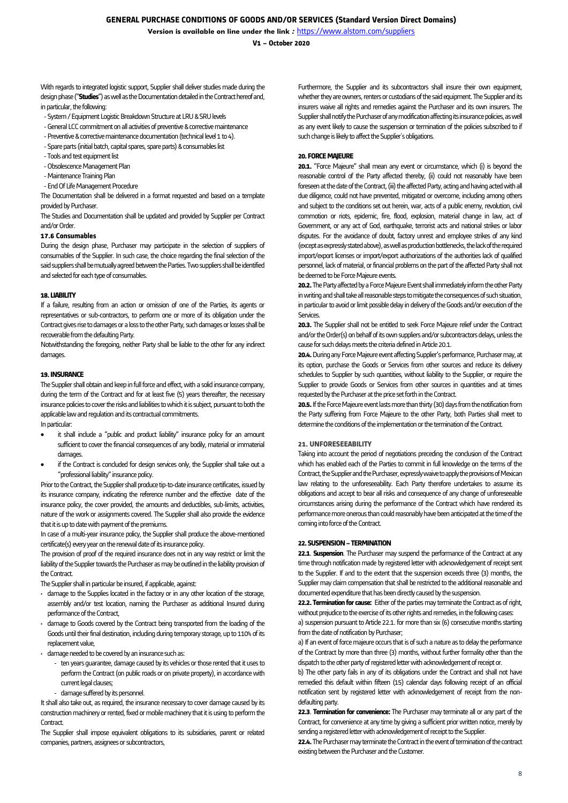**V1 – October 2020**

With regards to integrated logistic support, Supplier shall deliver studies made during the design phase ("**Studies**") as well as the Documentation detailed in the Contracthereof and, in particular, the following:

- -System / Equipment Logistic Breakdown Structure at LRU & SRU levels
- -General LCC commitment on all activities of preventive & corrective maintenance
- Preventive & corrective maintenance documentation (technical level 1 to 4).
- -Spare parts(initial batch, capital spares, spare parts) & consumables list
- -Tools and test equipment list
- -Obsolescence Management Plan
- -Maintenance Training Plan
- -End Of Life Management Procedure

The Documentation shall be delivered in a format requested and based on a template provided by Purchaser.

The Studies and Documentation shall be updated and provided by Supplier per Contract and/or Order.

### **17.6 Consumables**

During the design phase, Purchaser may participate in the selection of suppliers of consumables of the Supplier. In such case, the choice regarding the final selection of the said suppliers shall be mutually agreed between the Parties. Two suppliers shall be identified and selected for each type of consumables.

### **18. LIABILITY**

If a failure, resulting from an action or omission of one of the Parties, its agents or representatives or sub-contractors, to perform one or more of its obligation under the Contract gives rise to damages or a loss to the other Party, such damages or losses shall be recoverable from the defaulting Party.

Notwithstanding the foregoing, neither Party shall be liable to the other for any indirect damages.

### **19. INSURANCE**

The Supplier shall obtain and keep in full force and effect, with a solid insurance company, during the term of the Contract and for at least five (5) years thereafter, the necessary insurance policies to cover the risks and liabilities to which it is subject, pursuant to both the applicable law and regulation and its contractual commitments.

In particular:

- it shall include a "public and product liability" insurance policy for an amount sufficient to cover the financial consequences of any bodily, material or immaterial damages.
- if the Contract is concluded for design services only, the Supplier shall take out a "professional liability" insurance policy.

Prior to the Contract, the Supplier shall produce tip-to-date insurance certificates, issued by its insurance company, indicating the reference number and the effective date of the insurance policy, the cover provided, the amounts and deductibles, sub-limits, activities, nature of the work or assignments covered. The Supplier shall also provide the evidence that it is up to date with payment of the premiums.

In case of a multi-year insurance policy, the Supplier shall produce the above-mentioned certificate(s) every year on the renewal date of its insurance policy.

The provision of proof of the required insurance does not in any way restrict or limit the liability of the Supplier towards the Purchaser as may be outlined in the liability provision of the Contract.

The Supplier shall in particular be insured, if applicable, against:

- damage to the Supplies located in the factory or in any other location of the storage, assembly and/or test location, naming the Purchaser as additional Insured during performance of the Contract,
- damage to Goods covered by the Contract being transported from the loading of the Goods until their final destination, including during temporary storage, up to 110% of its replacement value,
- damage needed to be covered by an insurance such as:
	- ten years guarantee, damage caused by its vehicles or those rented that it uses to perform the Contract (on public roads or on private property), in accordance with current legal clauses;
	- damage suffered by its personnel.

It shall also take out, as required, the insurance necessary to cover damage caused by its construction machinery or rented, fixed or mobile machinery that it is using to perform the **Contract** 

The Supplier shall impose equivalent obligations to its subsidiaries, parent or related companies, partners, assignees or subcontractors,

Furthermore, the Supplier and its subcontractors shall insure their own equipment, whether they are owners, renters or custodians of the said equipment. The Supplier and its insurers waive all rights and remedies against the Purchaser and its own insurers. The Supplier shall notify the Purchaser of any modification affecting its insurance policies, as well as any event likely to cause the suspension or termination of the policies subscribed to if such change is likely to affect the Supplier's obligations.

# **20. FORCE MAJEURE**

**20.1.** "Force Majeure" shall mean any event or circumstance, which (i) is beyond the reasonable control of the Party affected thereby, (ii) could not reasonably have been foreseen at the date of the Contract, (iii) the affected Party, acting and having acted with all due diligence, could not have prevented, mitigated or overcome, including among others and subject to the conditions set out herein, war, acts of a public enemy, revolution, civil commotion or riots, epidemic, fire, flood, explosion, material change in law, act of Government, or any act of God, earthquake, terrorist acts and national strikes or labor disputes. For the avoidance of doubt, factory unrest and employee strikes of any kind (except as expressly stated above), as well as production bottlenecks, the lack of the required import/export licenses or import/export authorizations of the authorities lack of qualified personnel, lack of material, or financial problems on the part of the affected Party shall not be deemed to be Force Majeure events.

**20.2.**The Party affected by a Force Majeure Event shall immediately inform the other Party in writing and shall take all reasonable steps to mitigate the consequences of such situation, in particular to avoid or limit possible delay in delivery of the Goods and/or execution of the Services.

20.3. The Supplier shall not be entitled to seek Force Majeure relief under the Contract and/or the Order(s) on behalf of its own suppliers and/or subcontractors delays, unless the cause for such delays meets the criteria defined in Article 20.1.

**20.4.** During any Force Majeure event affecting Supplier's performance, Purchaser may, at its option, purchase the Goods or Services from other sources and reduce its delivery schedules to Supplier by such quantities, without liability to the Supplier, or require the Supplier to provide Goods or Services from other sources in quantities and at times requested by the Purchaser at the price set forth in the Contract.

**20.5.**If the Force Majeure event lasts more than thirty (30) days from the notification from the Party suffering from Force Majeure to the other Party, both Parties shall meet to determine the conditions of the implementation or the termination of the Contract.

## **21. UNFORESEEABILITY**

Taking into account the period of negotiations preceding the conclusion of the Contract which has enabled each of the Parties to commit in full knowledge on the terms of the Contract, the Supplier and the Purchaser, expressly waive to apply the provisions of Mexican law relating to the unforeseeability. Each Party therefore undertakes to assume its obligations and accept to bear all risks and consequence of any change of unforeseeable circumstances arising during the performance of the Contract which have rendered its performance more onerous than could reasonably have been anticipated at the time of the coming into force of the Contract.

### **22. SUSPENSION –TERMINATION**

**22.1**. **Suspension**. The Purchaser may suspend the performance of the Contract at any time through notification made by registered letter with acknowledgement of receipt sent to the Supplier. If and to the extent that the suspension exceeds three (3) months, the Supplier may claim compensation that shall be restricted to the additional reasonable and documented expenditure that has been directly caused by the suspension.

**22.2. Termination for cause:** Fither of the parties may terminate the Contract as of right without prejudice to the exercise of its other rights and remedies, in the following cases:

a) suspension pursuant to Article 22.1. for more than six (6) consecutive months starting from the date of notification by Purchaser:

a) If an event of force majeure occurs that is of such a nature as to delay the performance of the Contract by more than three (3) months, without further formality other than the dispatch to the other party of registered letter with acknowledgement of receipt or.

b) The other party fails in any of its obligations under the Contract and shall not have remedied this default within fifteen (15) calendar days following receipt of an official notification sent by registered letter with acknowledgement of receipt from the nondefaulting party.

**22.3**. **Termination for convenience:** The Purchaser may terminate all or any part of the Contract, for convenience at any time by giving a sufficient prior written notice, merely by sending a registered letter with acknowledgement of receipt to the Supplier.

**22.4.**The Purchaser may terminate the Contract in the event of termination of the contract existing between the Purchaser and the Customer.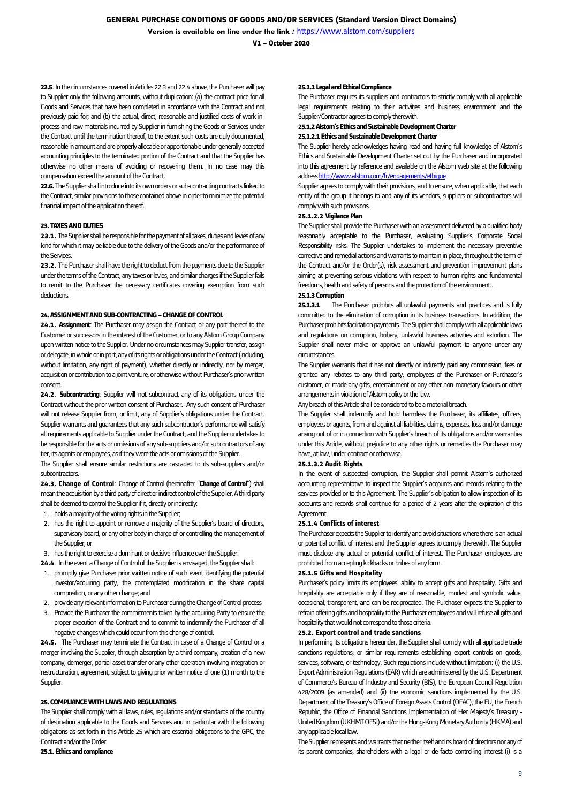**V1 – October 2020**

**22.5**. In the circumstances covered in Articles 22.3 and 22.4 above, the Purchaser will pay to Supplier only the following amounts, without duplication: (a) the contract price for all Goods and Services that have been completed in accordance with the Contract and not previously paid for; and (b) the actual, direct, reasonable and justified costs of work-inprocess and raw materials incurred by Supplier in furnishing the Goods or Services under the Contract until the termination thereof, to the extent such costs are duly documented, reasonable in amount and are properly allocable or apportionable under generally accepted accounting principles to the terminated portion of the Contract and that the Supplier has otherwise no other means of avoiding or recovering them. In no case may this compensation exceed the amount of the Contract.

**22.6.** The Supplier shall introduce into its own orders or sub-contracting contracts linked to the Contract, similar provisions to those contained above in order to minimize the potential financial impact of the application thereof.

# **23. TAXES AND DUTIES**

**23.1.** The Supplier shall be responsible for the payment of all taxes, duties and levies of any kind for which it may be liable due to the delivery of the Goods and/or the performance of the Services.

**23.2.** The Purchaser shall have the right to deduct from the payments due to the Supplier under the terms of the Contract, any taxes or levies, and similar charges if the Supplier fails to remit to the Purchaser the necessary certificates covering exemption from such deductions.

#### **24. ASSIGNMENT AND SUB-CONTRACTING –CHANGE OF CONTROL**

**24.1. Assignment**: The Purchaser may assign the Contract or any part thereof to the Customer or successors in the interest of the Customer, or to any Alstom Group Company upon written notice to the Supplier. Under no circumstances may Supplier transfer, assign or delegate, in whole or in part, any of its rights or obligations under the Contract (including, without limitation, any right of payment), whether directly or indirectly, nor by merger, acquisition or contribution to a joint venture, or otherwise without Purchaser's prior written consent.

**24.2**. **Subcontracting**: Supplier will not subcontract any of its obligations under the Contract without the prior written consent of Purchaser. Any such consent of Purchaser will not release Supplier from, or limit, any of Supplier's obligations under the Contract. Supplier warrants and guarantees that any such subcontractor's performance will satisfy all requirements applicable to Supplier under the Contract, and the Supplier undertakes to be responsible for the acts or omissions of any sub-suppliers and/or subcontractors of any tier, its agents or employees, as if they were the acts or omissions of the Supplier.

The Supplier shall ensure similar restrictions are cascaded to its sub-suppliers and/or subcontractors.

**24.3. Change of Control**: Change of Control (hereinafter "**Change of Control**") shall mean the acquisition by a third party of direct or indirect control of the Supplier. A third party shall be deemed to control the Supplier if it, directly or indirectly:

- 1. holds a majority of the voting rights in the Supplier;
- 2. has the right to appoint or remove a majority of the Supplier's board of directors, supervisory board, or any other body in charge of or controlling the management of the Supplier; or
- 3. has the right to exercise a dominant or decisive influence over the Supplier.
- **24.4**. In the event a Change of Control of the Supplier is envisaged, the Supplier shall:
- 1. promptly give Purchaser prior written notice of such event identifying the potential investor/acquiring party, the contemplated modification in the share capital composition, or any other change; and
- 2. provide any relevant information to Purchaser during the Change of Control process
- 3. Provide the Purchaser the commitments taken by the acquiring Party to ensure the proper execution of the Contract and to commit to indemnify the Purchaser of all negative changes which could occur from this change of control.

**24.5.** The Purchaser may terminate the Contract in case of a Change of Control or a merger involving the Supplier, through absorption by a third company, creation of a new company, demerger, partial asset transfer or any other operation involving integration or restructuration, agreement, subject to giving prior written notice of one (1) month to the Supplier.

### **25. COMPLIANCE WITH LAWS AND REGULATIONS**

The Supplier shall comply with all laws, rules, regulations and/or standards of the country of destination applicable to the Goods and Services and in particular with the following obligations as set forth in this Article 25 which are essential obligations to the GPC, the Contract and/or the Order:

## **25.1. Ethics and compliance**

### **25.1.1 Legal and Ethical Compliance**

The Purchaser requires its suppliers and contractors to strictly comply with all applicable legal requirements relating to their activities and business environment and the Supplier/Contractor agrees to comply therewith.

**25.1.2Alstom's Ethics and Sustainable Development Charter**

## **25.1.2.1 Ethics and Sustainable Development Charter**

The Supplier hereby acknowledges having read and having full knowledge of Alstom's Ethics and Sustainable Development Charter set out by the Purchaser and incorporated into this agreement by reference and available on the Alstom web site at the following addres[s http://www.alstom.com/fr/engagements/ethique](http://www.alstom.com/fr/engagements/ethique)

Supplier agrees to comply with their provisions, and to ensure, when applicable, that each entity of the group it belongs to and any of its vendors, suppliers or subcontractors will comply with such provisions.

# **25.1.2.2 Vigilance Plan**

The Supplier shall provide the Purchaser with an assessment delivered by a qualified body reasonably acceptable to the Purchaser, evaluating Supplier's Corporate Social Responsibility risks. The Supplier undertakes to implement the necessary preventive corrective and remedial actions and warrants to maintain in place, throughout the term of the Contract and/or the Order(s), risk assessment and prevention improvement plans aiming at preventing serious violations with respect to human rights and fundamental freedoms, health and safety of persons and the protection of the environment..

### **25.1.3 Corruption**

**25.1.3.1** The Purchaser prohibits all unlawful payments and practices and is fully committed to the elimination of corruption in its business transactions. In addition, the Purchaser prohibits facilitation payments. The Supplier shall comply with all applicable laws and regulations on corruption, bribery, unlawful business activities and extortion. The Supplier shall never make or approve an unlawful payment to anyone under any circumstances.

The Supplier warrants that it has not directly or indirectly paid any commission, fees or granted any rebates to any third party, employees of the Purchaser or Purchaser's customer, or made any gifts, entertainment or any other non-monetary favours or other arrangements in violation of Alstom policy or the law.

Any breach of this Article shall be considered to be a material breach.

The Supplier shall indemnify and hold harmless the Purchaser, its affiliates, officers, employees or agents, from and against all liabilities, claims, expenses, loss and/or damage arising out of or in connection with Supplier's breach of its obligations and/or warranties under this Article, without prejudice to any other rights or remedies the Purchaser may have, at law, under contract or otherwise.

#### **25.1.3.2 Audit Rights**

In the event of suspected corruption, the Supplier shall permit Alstom's authorized accounting representative to inspect the Supplier's accounts and records relating to the services provided or to this Agreement. The Supplier's obligation to allow inspection of its accounts and records shall continue for a period of 2 years after the expiration of this **Agreement** 

## **25.1.4 Conflicts of interest**

The Purchaser expects the Supplier to identify and avoid situations where there is an actual or potential conflict of interest and the Supplier agrees to comply therewith. The Supplier must disclose any actual or potential conflict of interest. The Purchaser employees are prohibited from accepting kickbacks or bribes of any form.

### **25.1.5 Gifts and Hospitality**

Purchaser's policy limits its employees' ability to accept gifts and hospitality. Gifts and hospitality are acceptable only if they are of reasonable, modest and symbolic value, occasional, transparent, and can be reciprocated. The Purchaser expects the Supplier to refrain offering gifts and hospitality to the Purchaser employees and will refuse all gifts and hospitality that would not correspond to those criteria.

#### **25.2. Export control and trade sanctions**

In performing its obligations hereunder, the Supplier shall comply with all applicable trade sanctions regulations, or similar requirements establishing export controls on goods, services, software, or technology. Such regulations include without limitation: (i) the U.S. Export Administration Regulations (EAR) which are administered by the U.S. Department of Commerce's Bureau of Industry and Security (BIS), the European Council Regulation 428/2009 (as amended) and (ii) the economic sanctions implemented by the U.S. Department of the Treasury's Office of Foreign Assets Control (OFAC), the EU, the French Republic, the Office of Financial Sanctions Implementation of Her Majesty's Treasury - United Kingdom (UKHMT OFSI) and/or the Hong-Kong Monetary Authority (HKMA) and any applicable local law.

The Supplier represents and warrants that neither itself and its board of directors nor any of its parent companies, shareholders with a legal or de facto controlling interest (i) is a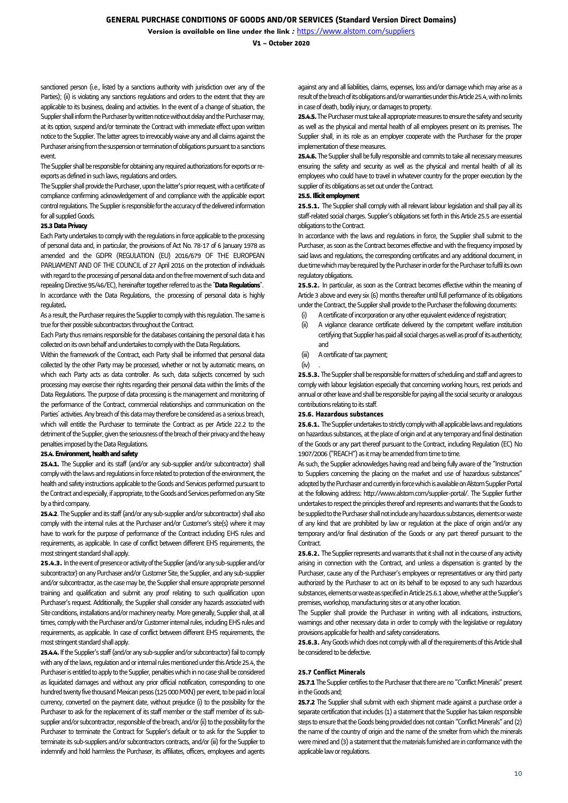**V1 – October 2020**

sanctioned person (i.e., listed by a sanctions authority with jurisdiction over any of the Parties); (ii) is violating any sanctions regulations and orders to the extent that they are applicable to its business, dealing and activities. In the event of a change of situation, the Supplier shall inform the Purchaser by written notice without delay and the Purchaser may, at its option, suspend and/or terminate the Contract with immediate effect upon written notice to the Supplier. The latter agrees to irrevocably waive any and all claims against the Purchaser arising from the suspension or termination of obligations pursuant to a sanctions event.

The Supplier shall be responsible for obtaining any required authorizations for exports or reexports as defined in such laws, regulations and orders.

The Supplier shall provide the Purchaser, upon the latter's prior request, with a certificate of compliance confirming acknowledgement of and compliance with the applicable export control regulations. The Supplier is responsible for the accuracy of the delivered information for all supplied Goods.

### **25.3 Data Privacy**

Each Party undertakes to comply with the regulations in force applicable to the processing of personal data and, in particular, the provisions of Act No. 78-17 of 6 January 1978 as amended and the GDPR (REGULATION (EU) 2016/679 OF THE EUROPEAN PARLIAMENT AND OF THE COUNCIL of 27 April 2016 on the protection of individuals with regard to the processing of personal data and on the free movement of such data and repealing Directive 95/46/EC), hereinafter together referred to as the "**Data Regulations**". In accordance with the Data Regulations, the processing of personal data is highly regulated**.**

As a result, the Purchaser requires the Supplier to comply with this regulation. The same is true for their possible subcontractors throughout the Contract.

Each Party thus remains responsible for the databases containing the personal data it has collected on its own behalf and undertakes to comply with the Data Regulations.

Within the framework of the Contract, each Party shall be informed that personal data collected by the other Party may be processed, whether or not by automatic means, on which each Party acts as data controller. As such, data subjects concerned by such processing may exercise their rights regarding their personal data within the limits of the Data Regulations. The purpose of data processing is the management and monitoring of the performance of the Contract, commercial relationships and communication on the Parties' activities. Any breach of this data may therefore be considered as a serious breach, which will entitle the Purchaser to terminate the Contract as per Article 22.2 to the detriment of the Supplier, given the seriousness of the breach of their privacy and the heavy penalties imposed by the Data Regulations.

### **25.4. Environment, health and safety**

**25.4.1.** The Supplier and its staff (and/or any sub-supplier and/or subcontractor) shall comply with the laws and regulations in force related to protection of the environment, the health and safety instructions applicable to the Goods and Services performed pursuant to the Contract and especially, if appropriate, to the Goods and Services performed on any Site by a third company.

**25.4.2**. The Supplier and its staff (and/or any sub-supplier and/or subcontractor) shall also comply with the internal rules at the Purchaser and/or Customer's site(s) where it may have to work for the purpose of performance of the Contract including EHS rules and requirements, as applicable. In case of conflict between different EHS requirements, the most stringent standard shall apply.

**25.4.3.** In the event of presence or activity of the Supplier (and/or any sub-supplier and/or subcontractor) on any Purchaser and/or Customer Site, the Supplier, and any sub-supplier and/or subcontractor, as the case may be, the Supplier shall ensure appropriate personnel training and qualification and submit any proof relating to such qualification upon Purchaser's request. Additionally, the Supplier shall consider any hazards associated with Site conditions, installations and/or machinery nearby. More generally, Supplier shall, at all times, comply with the Purchaser and/or Customer internal rules, including EHS rules and requirements, as applicable. In case of conflict between different EHS requirements, the most stringent standard shall apply.

**25.4.4.**If the Supplier's staff (and/or any sub-supplier and/or subcontractor) fail to comply with any of the laws, regulation and or internal rules mentioned under this Article 25.4, the Purchaser is entitled to apply to the Supplier, penalties which in no case shall be considered as liquidated damages and without any prior official notification, corresponding to one hundred twenty five thousand Mexican pesos(125000MXN) per event, to be paid in local currency, converted on the payment date, without prejudice (i) to the possibility for the Purchaser to ask for the replacement of its staff member or the staff member of its subsupplier and/or subcontractor, responsible of the breach, and/or (ii) to the possibility for the Purchaser to terminate the Contract for Supplier's default or to ask for the Supplier to terminate its sub-suppliers and/or subcontractors contracts, and/or (iii) for the Supplier to indemnify and hold harmless the Purchaser, its affiliates, officers, employees and agents

against any and all liabilities, claims, expenses, loss and/or damage which may arise as a result of the breach of its obligations and/or warranties under this Article 25.4, with no limits in case of death, bodily injury, or damages to property.

**25.4.5.**The Purchaser must take all appropriate measures to ensure the safety and security as well as the physical and mental health of all employees present on its premises. The Supplier shall, in its role as an employer cooperate with the Purchaser for the proper implementation of these measures.

**25.4.6.** The Supplier shall be fully responsible and commits to take all necessary measures ensuring the safety and security as well as the physical and mental health of all its employees who could have to travel in whatever country for the proper execution by the supplier of its obligations as set out under the Contract.

## **25.5. Illicit employment**

25.5.1. The Supplier shall comply with all relevant labour legislation and shall pay all its staff-related social charges. Supplier's obligations set forth in this Article 25.5 are essential obligations to the Contract.

In accordance with the laws and regulations in force, the Supplier shall submit to the Purchaser, as soon as the Contract becomes effective and with the frequency imposed by said laws and regulations, the corresponding certificates and any additional document, in due time which may be required by the Purchaser in order for the Purchaser to fulfil its own regulatory obligations.

**25.5.2.** In particular, as soon as the Contract becomes effective within the meaning of Article 3 above and every six (6) months thereafter until full performance of its obligations under the Contract, the Supplier shall provide to the Purchaser the following documents:

- (i) A certificate of incorporation or any other equivalent evidence of registration;
- (ii) A vigilance clearance certificate delivered by the competent welfare institution certifying that Supplier has paid all social charges as well as proof of its authenticity; and
- (iii) A certificate of tax payment;
- $(iv)$

**25.5.3.** The Supplier shall be responsible for matters of scheduling and staff and agrees to comply with labour legislation especially that concerning working hours, rest periods and annual or other leave and shall be responsible for paying all the social security or analogous contributions relating to its staff.

### **25.6. Hazardous substances**

**25.6.1.** The Supplier undertakes to strictly comply with all applicable laws and regulations on hazardous substances, at the place of origin and at any temporary and final destination of the Goods or any part thereof pursuant to the Contract, including Regulation (EC) No 1907/2006 ("REACH") as it may be amended from time to time.

As such, the Supplier acknowledges having read and being fully aware of the "Instruction to Suppliers concerning the placing on the market and use of hazardous substances" adopted by the Purchaser and currently in force which is available on Alstom Supplier Portal at the following address[: http://www.alstom.com/supplier-portal/.](http://www.alstom.com/supplier-portal/) The Supplier further undertakes to respect the principles thereof and represents and warrants that the Goods to be supplied to the Purchaser shall not include any hazardous substances, elements or waste of any kind that are prohibited by law or regulation at the place of origin and/or any temporary and/or final destination of the Goods or any part thereof pursuant to the Contract.

**25.6.2.** The Supplier represents and warrants that it shall not in the course of any activity arising in connection with the Contract, and unless a dispensation is granted by the Purchaser, cause any of the Purchaser's employees or representatives or any third party authorized by the Purchaser to act on its behalf to be exposed to any such hazardous substances, elements or waste as specified in Article 25.6.1 above, whether at the Supplier's premises, workshop, manufacturing sites or at any other location.

The Supplier shall provide the Purchaser in writing with all indications, instructions, warnings and other necessary data in order to comply with the legislative or regulatory provisions applicable for health and safety considerations.

**25.6.3.** Any Goods which does not comply with all of the requirements of this Article shall be considered to be defective.

# **25.7 Conflict Minerals**

**25.7.1** The Supplier certifies to the Purchaser that there are no "Conflict Minerals" present in the Goods and;

**25.7.2** The Supplier shall submit with each shipment made against a purchase order a separate certification that includes (1) a statement that the Supplier has taken responsible steps to ensure that the Goods being provided does not contain "Conflict Minerals" and (2) the name of the country of origin and the name of the smelter from which the minerals were mined and (3) a statement that the materials furnished are in conformance with the applicable law or regulations.